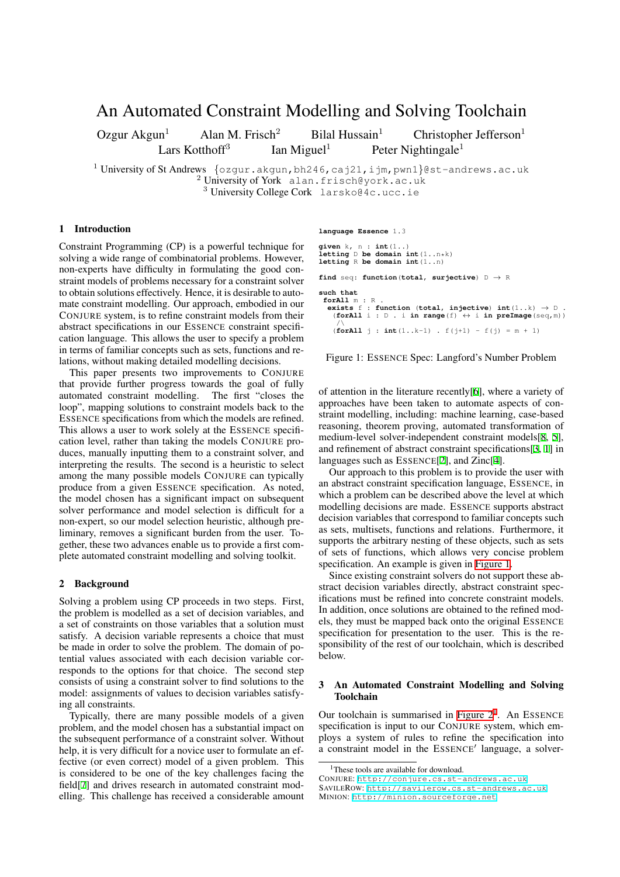# An Automated Constraint Modelling and Solving Toolchain

Ozgur Akgun<sup>1</sup> Alan M. Frisch<sup>2</sup> Bilal Hussain<sup>1</sup> Christopher Jefferson<sup>1</sup> Lars Kotthoff<sup>3</sup> Ian Miguel<sup>1</sup> Peter Nightingale<sup>1</sup>

<sup>1</sup> University of St Andrews *{*ozgur.akgun,bh246,caj21,ijm,pwn1*}*@st-andrews.ac.uk  $2$  University of York alan.frisch@york.ac.uk <sup>3</sup> University College Cork larsko@4c.ucc.ie

## 1 Introduction

Constraint Programming (CP) is a powerful technique for solving a wide range of combinatorial problems. However, non-experts have difficulty in formulating the good constraint models of problems necessary for a constraint solver to obtain solutions effectively. Hence, it is desirable to automate constraint modelling. Our approach, embodied in our CONJURE system, is to refine constraint models from their abstract specifications in our ESSENCE constraint specification language. This allows the user to specify a problem in terms of familiar concepts such as sets, functions and relations, without making detailed modelling decisions.

This paper presents two improvements to CONJURE that provide further progress towards the goal of fully automated constraint modelling. The first "closes the loop", mapping solutions to constraint models back to the ESSENCE specifications from which the models are refined. This allows a user to work solely at the ESSENCE specification level, rather than taking the models CONJURE produces, manually inputting them to a constraint solver, and interpreting the results. The second is a heuristic to select among the many possible models CONJURE can typically produce from a given ESSENCE specification. As noted, the model chosen has a significant impact on subsequent solver performance and model selection is difficult for a non-expert, so our model selection heuristic, although preliminary, removes a significant burden from the user. Together, these two advances enable us to provide a first complete automated constraint modelling and solving toolkit.

### 2 Background

Solving a problem using CP proceeds in two steps. First, the problem is modelled as a set of decision variables, and a set of constraints on those variables that a solution must satisfy. A decision variable represents a choice that must be made in order to solve the problem. The domain of potential values associated with each decision variable corresponds to the options for that choice. The second step consists of using a constraint solver to find solutions to the model: assignments of values to decision variables satisfying all constraints.

Typically, there are many possible models of a given problem, and the model chosen has a substantial impact on the subsequent performance of a constraint solver. Without help, it is very difficult for a novice user to formulate an effective (or even correct) model of a given problem. This is considered to be one of the key challenges facing the field[7] and drives research in automated constraint modelling. This challenge has received a considerable amount **language Essence** 1.3

```
given k, n : int(1..)
letting D be domain int(1..n*k)
letting R be domain int(1..n)
find seq: function(total, surjective) D → R
such that
forAll m : R .
  exists f : function (total, injective) int(1..k) \rightarrow D.
   (forAll i : D . i in range(f) ↔ i in preImage(seq,m))
   / (forAll j : int(1..k-1) . f(j+1) - f(j) = m + 1)
```
Figure 1: ESSENCE Spec: Langford's Number Problem

<span id="page-0-0"></span>of attention in the literature recently[6], where a variety of approaches have been taken to automate aspects of constraint modelling, including: machine learning, case-based reasoning, theorem proving, automated transformation of medium-level solver-independent co[ns](#page-1-0)traint models[8, 5], and refinement of abstract constraint specifications[3, 1] in languages such as ESSENCE[2], and Zinc[4].

Our approach to this problem is to provide the user with an abstract constraint specification language, ESSEN[CE](#page-1-1), [i](#page-1-2)n which a problem can be described above the level a[t](#page-1-3) [wh](#page-1-4)ich modelling decisions are mad[e.](#page-1-5) ESSENCE [su](#page-1-6)pports abstract decision variables that correspond to familiar concepts such as sets, multisets, functions and relations. Furthermore, it supports the arbitrary nesting of these objects, such as sets of sets of functions, which allows very concise problem specification. An example is given in Figure 1.

Since existing constraint solvers do not support these abstract decision variables directly, abstract constraint specifications must be refined into concrete constraint models. In addition, once solutions are obtained to the refined models, they must be mapped back onto [the origin](#page-0-0)al ESSENCE specification for presentation to the user. This is the responsibility of the rest of our toolchain, which is described below.

### 3 An Automated Constraint Modelling and Solving Toolchain

Our toolchain is summarised in Figure  $2<sup>1</sup>$ . An ESSENCE specification is input to our CONJURE system, which employs a system of rules to refine the specification into a constraint model in the ESSENCE*′* language, a solver-

<sup>&</sup>lt;sup>1</sup>These tools are available for downlo[ad.](#page-1-7)

CONJURE: http://conjure.cs.st-andrews.ac.uk SAVILEROW: http://savilerow.cs.st-andrews.ac.uk MINION: http://minion.sourceforge.net